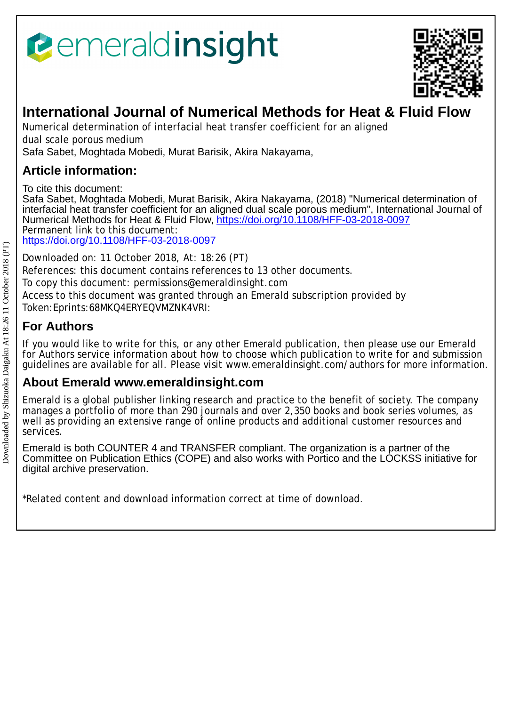# *<u><b>e*emeraldinsight</u>



## **International Journal of Numerical Methods for Heat & Fluid Flow**

Numerical determination of interfacial heat transfer coefficient for an aligned dual scale porous medium Safa Sabet, Moghtada Mobedi, Murat Barisik, Akira Nakayama,

## **Article information:**

To cite this document:

Safa Sabet, Moghtada Mobedi, Murat Barisik, Akira Nakayama, (2018) "Numerical determination of interfacial heat transfer coefficient for an aligned dual scale porous medium", International Journal of Numerical Methods for Heat & Fluid Flow, <https://doi.org/10.1108/HFF-03-2018-0097> Permanent link to this document: <https://doi.org/10.1108/HFF-03-2018-0097>

Downloaded on: 11 October 2018, At: 18:26 (PT)

References: this document contains references to 13 other documents.

To copy this document: permissions@emeraldinsight.com

Access to this document was granted through an Emerald subscription provided by Token:Eprints:68MKQ4ERYEQVMZNK4VRI:

## **For Authors**

If you would like to write for this, or any other Emerald publication, then please use our Emerald for Authors service information about how to choose which publication to write for and submission guidelines are available for all. Please visit www.emeraldinsight.com/authors for more information.

### **About Emerald www.emeraldinsight.com**

Emerald is a global publisher linking research and practice to the benefit of society. The company manages a portfolio of more than 290 journals and over 2,350 books and book series volumes, as well as providing an extensive range of online products and additional customer resources and services.

Emerald is both COUNTER 4 and TRANSFER compliant. The organization is a partner of the Committee on Publication Ethics (COPE) and also works with Portico and the LOCKSS initiative for digital archive preservation.

\*Related content and download information correct at time of download.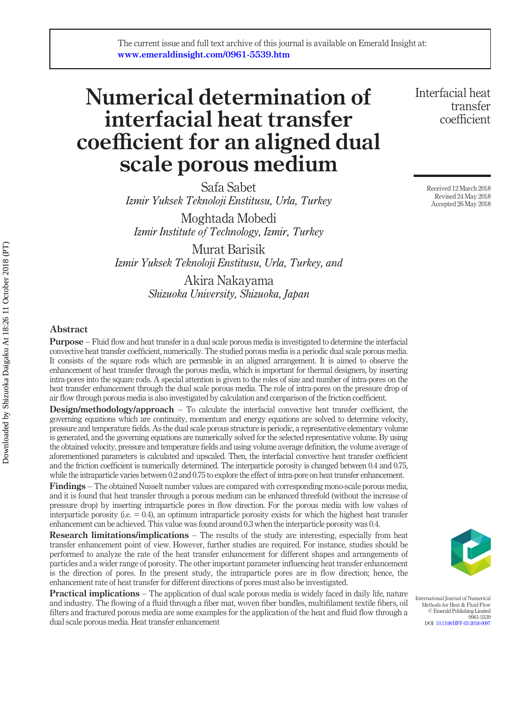## Numerical determination of interfacial heat transfer coefficient for an aligned dual scale porous medium

Safa Sabet Izmir Yuksek Teknoloji Enstitusu, Urla, Turkey

Moghtada Mobedi Izmir Institute of Technology, Izmir, Turkey

Murat Barisik Izmir Yuksek Teknoloji Enstitusu, Urla, Turkey, and

> Akira Nakayama Shizuoka University, Shizuoka, Japan

Interfacial heat transfer coefficient

> Received 12 March 2018 Revised 24 May 2018 Accepted 26 May 2018

#### Abstract

Purpose – Fluid flow and heat transfer in a dual scale porous media is investigated to determine the interfacial convective heat transfer coefficient, numerically. The studied porous media is a periodic dual scale porous media. It consists of the square rods which are permeable in an aligned arrangement. It is aimed to observe the enhancement of heat transfer through the porous media, which is important for thermal designers, by inserting intra-pores into the square rods. A special attention is given to the roles of size and number of intra-pores on the heat transfer enhancement through the dual scale porous media. The role of intra-pores on the pressure drop of air flow through porous media is also investigated by calculation and comparison of the friction coefficient.

Design/methodology/approach – To calculate the interfacial convective heat transfer coefficient, the governing equations which are continuity, momentum and energy equations are solved to determine velocity, pressure and temperature fields. As the dual scale porous structure is periodic, a representative elementary volume is generated, and the governing equations are numerically solved for the selected representative volume. By using the obtained velocity, pressure and temperature fields and using volume average definition, the volume average of aforementioned parameters is calculated and upscaled. Then, the interfacial convective heat transfer coefficient and the friction coefficient is numerically determined. The interparticle porosity is changed between 0.4 and 0.75, while the intraparticle varies between 0.2 and 0.75 to explore the effect of intra-pore on heat transfer enhancement.

Findings – The obtained Nusselt number values are compared with corresponding mono-scale porous media, and it is found that heat transfer through a porous medium can be enhanced threefold (without the increase of pressure drop) by inserting intraparticle pores in flow direction. For the porous media with low values of interparticle porosity (i.e.  $= 0.4$ ), an optimum intraparticle porosity exists for which the highest heat transfer enhancement can be achieved. This value was found around 0.3 when the interparticle porosity was 0.4.

**Research limitations/implications**  $-$  The results of the study are interesting, especially from heat transfer enhancement point of view. However, further studies are required. For instance, studies should be performed to analyze the rate of the heat transfer enhancement for different shapes and arrangements of particles and a wider range of porosity. The other important parameter influencing heat transfer enhancement is the direction of pores. In the present study, the intraparticle pores are in flow direction; hence, the enhancement rate of heat transfer for different directions of pores must also be investigated.

Practical implications – The application of dual scale porous media is widely faced in daily life, nature and industry. The flowing of a fluid through a fiber mat, woven fiber bundles, multifilament textile fibers, oil filters and fractured porous media are some examples for the application of the heat and fluid flow through a dual scale porous media. Heat transfer enhancement



International Journal of Numerical Methods for Heat & Fluid Flow © Emerald Publishing Limited 0961-5539 DOI [10.1108/HFF-03-2018-0097](http://dx.doi.org/10.1108/HFF-03-2018-0097)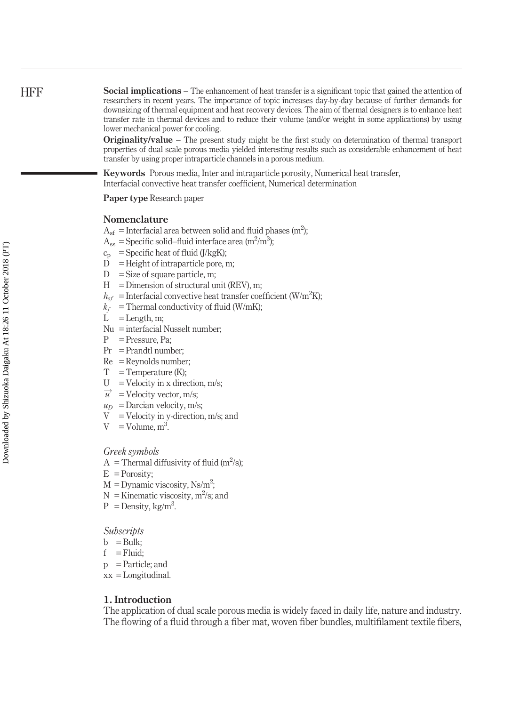Social implications – The enhancement of heat transfer is a significant topic that gained the attention of researchers in recent years. The importance of topic increases day-by-day because of further demands for downsizing of thermal equipment and heat recovery devices. The aim of thermal designers is to enhance heat transfer rate in thermal devices and to reduce their volume (and/or weight in some applications) by using lower mechanical power for cooling.

**Originality/value** – The present study might be the first study on determination of thermal transport properties of dual scale porous media yielded interesting results such as considerable enhancement of heat transfer by using proper intraparticle channels in a porous medium.

Keywords Porous media, Inter and intraparticle porosity, Numerical heat transfer, Interfacial convective heat transfer coefficient, Numerical determination

Paper type Research paper

#### Nomenclature

 $A_{\rm sf}$  = Interfacial area between solid and fluid phases (m<sup>2</sup>);

- $A_{ss}$  = Specific solid–fluid interface area (m<sup>2</sup>/m<sup>3</sup>);
- $c_p$  = Specific heat of fluid (J/kgK);
- $D =$  Height of intraparticle pore, m;
- $D = Size of square particle, m;$
- $H =$  Dimension of structural unit (REV), m;
- $h_{sf}$  = Interfacial convective heat transfer coefficient (W/m<sup>2</sup>K);
- $k_f$  = Thermal conductivity of fluid (W/mK);
- $L =$ Length, m;
- Nu = interfacial Nusselt number;
- $P =$  Pressure, Pa:
- $Pr = Pr$  andtl number;
- $Re =$  Reynolds number;
- $T = T$ emperature (K);
- $U =$  Velocity in x direction, m/s;
- $\vec{u}$  = Velocity vector, m/s;
- $u_D$  = Darcian velocity, m/s;
- $V =$  Velocity in y-direction, m/s; and
- $V =$ Volume,  $m^3$ .

#### Greek symbols

- A = Thermal diffusivity of fluid  $(m^2/s)$ ;
- $E = \text{Porosity};$
- $M =$  Dynamic viscosity, Ns/m<sup>2</sup>;
- $N =$ Kinematic viscosity,  $m^2/s$ ; and
- $P = Density$ , kg/m<sup>3</sup>.

#### **Subscripts**

- $b =$  Bulk:
- $f =$ Fluid:
- $p =$  Particle; and
- $xx =$ Longitudinal.

#### 1. Introduction

The application of dual scale porous media is widely faced in daily life, nature and industry. The flowing of a fluid through a fiber mat, woven fiber bundles, multifilament textile fibers,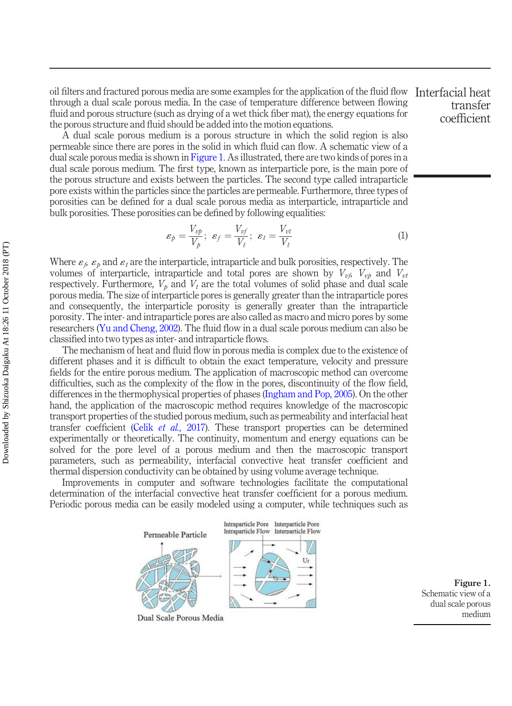oil filters and fractured porous media are some examples for the application of the fluid flow through a dual scale porous media. In the case of temperature difference between flowing fluid and porous structure (such as drying of a wet thick fiber mat), the energy equations for the porous structure and fluid should be added into the motion equations.

A dual scale porous medium is a porous structure in which the solid region is also permeable since there are pores in the solid in which fluid can flow. A schematic view of a dual scale porous media is shown in [Figure 1](#page-3-0). As illustrated, there are two kinds of pores in a dual scale porous medium. The first type, known as interparticle pore, is the main pore of the porous structure and exists between the particles. The second type called intraparticle pore exists within the particles since the particles are permeable. Furthermore, three types of porosities can be defined for a dual scale porous media as interparticle, intraparticle and bulk porosities. These porosities can be defined by following equalities:

$$
\varepsilon_p = \frac{V_{vp}}{V_p}; \ \varepsilon_f = \frac{V_{vf}}{V_t}; \ \varepsilon_t = \frac{V_{vt}}{V_t}
$$
 (1)

Where  $\varepsilon_f$ ,  $\varepsilon_h$  and  $\varepsilon_f$  are the interparticle, intraparticle and bulk porosities, respectively. The volumes of interparticle, intraparticle and total pores are shown by  $V_{v6}$ ,  $V_{v6}$  and  $V_{vt}$ respectively. Furthermore,  $V_p$  and  $V_t$  are the total volumes of solid phase and dual scale porous media. The size of interparticle pores is generally greater than the intraparticle pores and consequently, the interparticle porosity is generally greater than the intraparticle porosity. The inter- and intraparticle pores are also called as macro and micro pores by some researchers ([Yu and Cheng, 2002](#page-18-0)). The fluid flow in a dual scale porous medium can also be classified into two types as inter- and intraparticle flows.

The mechanism of heat and fluid flow in porous media is complex due to the existence of different phases and it is difficult to obtain the exact temperature, velocity and pressure fields for the entire porous medium. The application of macroscopic method can overcome difficulties, such as the complexity of the flow in the pores, discontinuity of the flow field, differences in the thermophysical properties of phases [\(Ingham and Pop, 2005\)](#page-18-1). On the other hand, the application of the macroscopic method requires knowledge of the macroscopic transport properties of the studied porous medium, such as permeability and interfacial heat transfer coefficient (Celik [et al.,](#page-18-2) 2017). These transport properties can be determined experimentally or theoretically. The continuity, momentum and energy equations can be solved for the pore level of a porous medium and then the macroscopic transport parameters, such as permeability, interfacial convective heat transfer coefficient and thermal dispersion conductivity can be obtained by using volume average technique.

Improvements in computer and software technologies facilitate the computational determination of the interfacial convective heat transfer coefficient for a porous medium. Periodic porous media can be easily modeled using a computer, while techniques such as



Dual Scale Porous Media

<span id="page-3-0"></span>Figure 1. Schematic view of a dual scale porous medium

Interfacial heat

transfer coefficient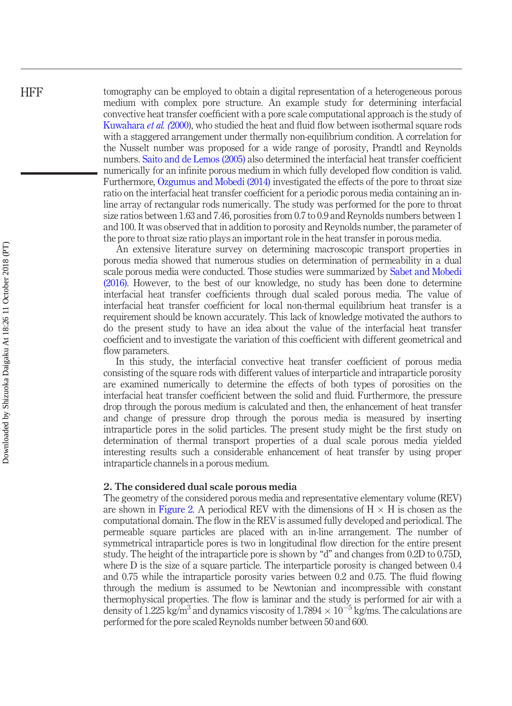tomography can be employed to obtain a digital representation of a heterogeneous porous medium with complex pore structure. An example study for determining interfacial convective heat transfer coefficient with a pore scale computational approach is the study of [Kuwahara](#page-18-3) et al. (2000), who studied the heat and fluid flow between isothermal square rods with a staggered arrangement under thermally non-equilibrium condition. A correlation for the Nusselt number was proposed for a wide range of porosity, Prandtl and Reynolds numbers. [Saito and de Lemos \(2005\)](#page-18-4) also determined the interfacial heat transfer coefficient numerically for an infinite porous medium in which fully developed flow condition is valid. Furthermore, [Ozgumus and Mobedi \(2014\)](#page-18-5) investigated the effects of the pore to throat size ratio on the interfacial heat transfer coefficient for a periodic porous media containing an inline array of rectangular rods numerically. The study was performed for the pore to throat size ratios between 1.63 and 7.46, porosities from 0.7 to 0.9 and Reynolds numbers between 1 and 100. It was observed that in addition to porosity and Reynolds number, the parameter of the pore to throat size ratio plays an important role in the heat transfer in porous media.

An extensive literature survey on determining macroscopic transport properties in porous media showed that numerous studies on determination of permeability in a dual scale porous media were conducted. Those studies were summarized by [Sabet and Mobedi](#page-18-6) [\(2016\)](#page-18-6). However, to the best of our knowledge, no study has been done to determine interfacial heat transfer coefficients through dual scaled porous media. The value of interfacial heat transfer coefficient for local non-thermal equilibrium heat transfer is a requirement should be known accurately. This lack of knowledge motivated the authors to do the present study to have an idea about the value of the interfacial heat transfer coefficient and to investigate the variation of this coefficient with different geometrical and flow parameters.

In this study, the interfacial convective heat transfer coefficient of porous media consisting of the square rods with different values of interparticle and intraparticle porosity are examined numerically to determine the effects of both types of porosities on the interfacial heat transfer coefficient between the solid and fluid. Furthermore, the pressure drop through the porous medium is calculated and then, the enhancement of heat transfer and change of pressure drop through the porous media is measured by inserting intraparticle pores in the solid particles. The present study might be the first study on determination of thermal transport properties of a dual scale porous media yielded interesting results such a considerable enhancement of heat transfer by using proper intraparticle channels in a porous medium.

#### 2. The considered dual scale porous media

The geometry of the considered porous media and representative elementary volume (REV) are shown in [Figure 2.](#page-5-0) A periodical REV with the dimensions of  $H \times H$  is chosen as the computational domain. The flow in the REV is assumed fully developed and periodical. The permeable square particles are placed with an in-line arrangement. The number of symmetrical intraparticle pores is two in longitudinal flow direction for the entire present study. The height of the intraparticle pore is shown by "d" and changes from 0.2D to 0.75D, where D is the size of a square particle. The interparticle porosity is changed between 0.4 and 0.75 while the intraparticle porosity varies between 0.2 and 0.75. The fluid flowing through the medium is assumed to be Newtonian and incompressible with constant thermophysical properties. The flow is laminar and the study is performed for air with a density of 1.225 kg/m<sup>3</sup> and dynamics viscosity of  $1.7894 \times 10^{-5}$  kg/ms. The calculations are performed for the pore scaled Reynolds number between 50 and 600.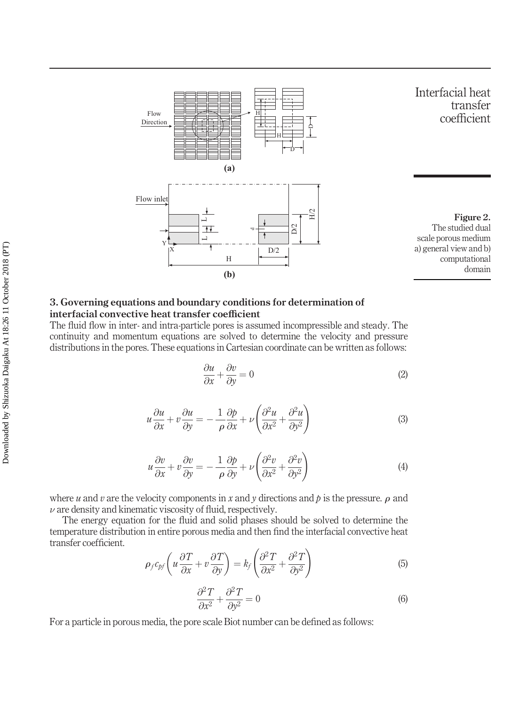<span id="page-5-1"></span>

#### 3. Governing equations and boundary conditions for determination of interfacial convective heat transfer coefficient

The fluid flow in inter- and intra-particle pores is assumed incompressible and steady. The continuity and momentum equations are solved to determine the velocity and pressure distributions in the pores. These equations in Cartesian coordinate can be written as follows:

<span id="page-5-0"></span>
$$
\frac{\partial u}{\partial x} + \frac{\partial v}{\partial y} = 0\tag{2}
$$

$$
u\frac{\partial u}{\partial x} + v\frac{\partial u}{\partial y} = -\frac{1}{\rho}\frac{\partial p}{\partial x} + \nu \left(\frac{\partial^2 u}{\partial x^2} + \frac{\partial^2 u}{\partial y^2}\right) \tag{3}
$$

$$
u\frac{\partial v}{\partial x} + v\frac{\partial v}{\partial y} = -\frac{1}{\rho}\frac{\partial p}{\partial y} + \nu \left(\frac{\partial^2 v}{\partial x^2} + \frac{\partial^2 v}{\partial y^2}\right) \tag{4}
$$

where u and v are the velocity components in x and y directions and p is the pressure.  $\rho$  and  $\nu$  are density and kinematic viscosity of fluid, respectively.

The energy equation for the fluid and solid phases should be solved to determine the temperature distribution in entire porous media and then find the interfacial convective heat transfer coefficient.

$$
\rho_f c_{pf} \left( u \frac{\partial T}{\partial x} + v \frac{\partial T}{\partial y} \right) = k_f \left( \frac{\partial^2 T}{\partial x^2} + \frac{\partial^2 T}{\partial y^2} \right) \tag{5}
$$

$$
\frac{\partial^2 T}{\partial x^2} + \frac{\partial^2 T}{\partial y^2} = 0\tag{6}
$$

For a particle in porous media, the pore scale Biot number can be defined as follows: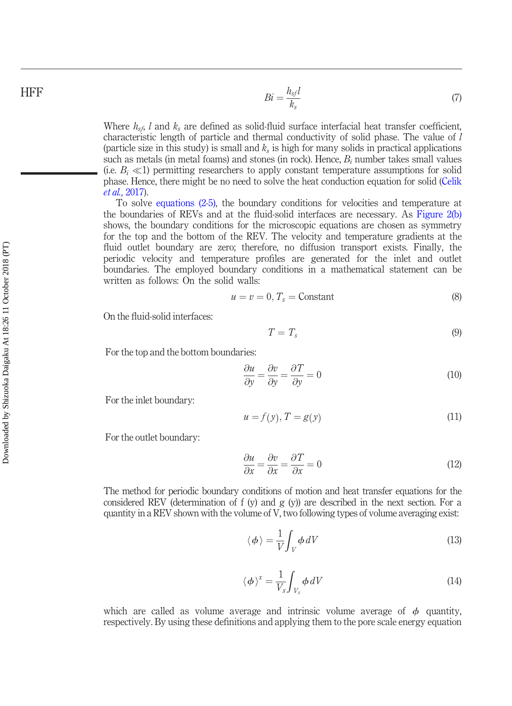<span id="page-6-0"></span>**HFF** 

$$
Bi = \frac{h_{sf}l}{k_s} \tag{7}
$$

Where  $h_{\rm sf}$ , l and  $k_{\rm s}$  are defined as solid-fluid surface interfacial heat transfer coefficient, characteristic length of particle and thermal conductivity of solid phase. The value of l (particle size in this study) is small and  $k<sub>s</sub>$  is high for many solids in practical applications such as metals (in metal foams) and stones (in rock). Hence,  $B_i$  number takes small values (i.e.  $B_i \ll 1$ ) permitting researchers to apply constant temperature assumptions for solid phase. Hence, there might be no need to solve the heat conduction equation for solid ([Celik](#page-18-2) [et al.,](#page-18-2) 2017).

To solve [equations \(2](#page-5-1)-[5\),](#page-5-1) the boundary conditions for velocities and temperature at the boundaries of REVs and at the fluid-solid interfaces are necessary. As [Figure 2\(b\)](#page-5-0) shows, the boundary conditions for the microscopic equations are chosen as symmetry for the top and the bottom of the REV. The velocity and temperature gradients at the fluid outlet boundary are zero; therefore, no diffusion transport exists. Finally, the periodic velocity and temperature profiles are generated for the inlet and outlet boundaries. The employed boundary conditions in a mathematical statement can be written as follows: On the solid walls:

$$
u = v = 0, T_s = \text{Constant} \tag{8}
$$

On the fluid-solid interfaces:

$$
T = T_s \tag{9}
$$

For the top and the bottom boundaries:

$$
\frac{\partial u}{\partial y} = \frac{\partial v}{\partial y} = \frac{\partial T}{\partial y} = 0\tag{10}
$$

For the inlet boundary:

$$
u = f(y), T = g(y)
$$
\n<sup>(11)</sup>

For the outlet boundary:

$$
\frac{\partial u}{\partial x} = \frac{\partial v}{\partial x} = \frac{\partial T}{\partial x} = 0\tag{12}
$$

The method for periodic boundary conditions of motion and heat transfer equations for the considered REV (determination of f (y) and  $g$  (y)) are described in the next section. For a quantity in a REV shown with the volume of V, two following types of volume averaging exist:

$$
\langle \phi \rangle = \frac{1}{V} \int_{V} \phi \, dV \tag{13}
$$

$$
\langle \phi \rangle^x = \frac{1}{V_x} \int_{V_x} \phi \, dV \tag{14}
$$

which are called as volume average and intrinsic volume average of  $\phi$  quantity, respectively. By using these definitions and applying them to the pore scale energy equation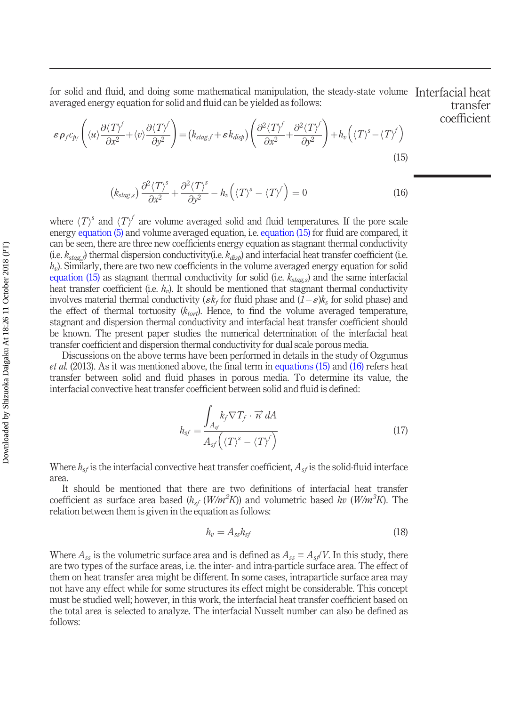<span id="page-7-0"></span>for solid and fluid, and doing some mathematical manipulation, the steady-state volume Interfacial heat averaged energy equation for solid and fluid can be yielded as follows: transfer

coefficient

$$
\varepsilon \rho_f c_{p_f} \left( \langle u \rangle \frac{\partial \langle T \rangle^f}{\partial x^2} + \langle v \rangle \frac{\partial \langle T \rangle^f}{\partial y^2} \right) = \left( k_{stag,f} + \varepsilon k_{disp} \right) \left( \frac{\partial^2 \langle T \rangle^f}{\partial x^2} + \frac{\partial^2 \langle T \rangle^f}{\partial y^2} \right) + h_v \left( \langle T \rangle^s - \langle T \rangle^f \right) \tag{15}
$$

$$
\left(k_{stag,s}\right) \frac{\partial^2 \langle T \rangle^s}{\partial x^2} + \frac{\partial^2 \langle T \rangle^s}{\partial y^2} - h_v\left(\langle T \rangle^s - \langle T \rangle^f\right) = 0 \tag{16}
$$

where  $\langle T \rangle^s$  and  $\langle T \rangle^f$  are volume averaged solid and fluid temperatures. If the pore scale energy [equation \(5\)](#page-5-1) and volume averaged equation, i.e. equation (15) for fluid are compared, it can be seen, there are three new coefficients energy equation as stagnant thermal conductivity (i.e.  $k_{stag,f}$ ) thermal dispersion conductivity(i.e.  $k_{disp}$ ) and interfacial heat transfer coefficient (i.e.  $h_{\nu}$ ). Similarly, there are two new coefficients in the volume averaged energy equation for solid equation (15) as stagnant thermal conductivity for solid (i.e.  $k_{stag,s}$ ) and the same interfacial heat transfer coefficient (i.e.  $h_v$ ). It should be mentioned that stagnant thermal conductivity involves material thermal conductivity ( $\varepsilon k_f$  for fluid phase and  $(1-\varepsilon)k_s$  for solid phase) and the effect of thermal tortuosity  $(k_{tort})$ . Hence, to find the volume averaged temperature, stagnant and dispersion thermal conductivity and interfacial heat transfer coefficient should be known. The present paper studies the numerical determination of the interfacial heat transfer coefficient and dispersion thermal conductivity for dual scale porous media.

Discussions on the above terms have been performed in details in the study of Ozgumus *et al.* (2013). As it was mentioned above, the final term in equations (15) and (16) refers heat transfer between solid and fluid phases in porous media. To determine its value, the interfacial convective heat transfer coefficient between solid and fluid is defined:

$$
h_{sf} = \frac{\int_{A_{sf}} k_f \nabla T_f \cdot \vec{n} \, dA}{A_{sf} \left( \langle T \rangle^s - \langle T \rangle^f \right)} \tag{17}
$$

Where  $h_{sf}$  is the interfacial convective heat transfer coefficient,  $A_{sf}$  is the solid-fluid interface area.

It should be mentioned that there are two definitions of interfacial heat transfer coefficient as surface area based  $(h_{sf}(W/m^2K))$  and volumetric based hv ( $W/m^3K$ ). The relation between them is given in the equation as follows:

$$
h_v = A_{ss} h_{sf} \tag{18}
$$

Where  $A_{ss}$  is the volumetric surface area and is defined as  $A_{ss} = A_{sf} / V$ . In this study, there are two types of the surface areas, i.e. the inter- and intra-particle surface area. The effect of them on heat transfer area might be different. In some cases, intraparticle surface area may not have any effect while for some structures its effect might be considerable. This concept must be studied well; however, in this work, the interfacial heat transfer coefficient based on the total area is selected to analyze. The interfacial Nusselt number can also be defined as follows: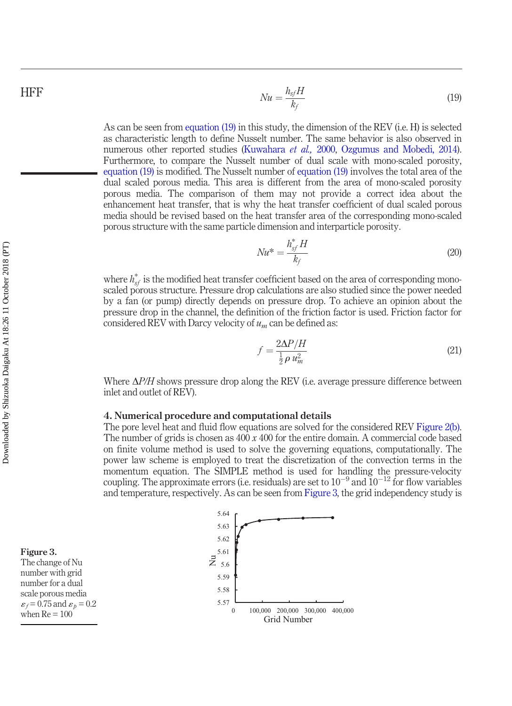**HFF** 

$$
Nu = \frac{h_{sf}H}{k_f} \tag{19}
$$

As can be seen from [equation \(19\)](#page-7-0) in this study, the dimension of the REV (i.e. H) is selected as characteristic length to define Nusselt number. The same behavior is also observed in numerous other reported studies [\(Kuwahara](#page-18-3) et al., 2000, [Ozgumus and Mobedi, 2014\)](#page-18-5). Furthermore, to compare the Nusselt number of dual scale with mono-scaled porosity, [equation \(19\)](#page-7-0) is modified. The Nusselt number of [equation \(19\)](#page-7-0) involves the total area of the dual scaled porous media. This area is different from the area of mono-scaled porosity porous media. The comparison of them may not provide a correct idea about the enhancement heat transfer, that is why the heat transfer coefficient of dual scaled porous media should be revised based on the heat transfer area of the corresponding mono-scaled porous structure with the same particle dimension and interparticle porosity.

$$
Nu^* = \frac{h_{sf}^* H}{k_f} \tag{20}
$$

where  $h_{sf}^*$  is the modified heat transfer coefficient based on the area of corresponding monoscaled porous structure. Pressure drop calculations are also studied since the power needed by a fan (or pump) directly depends on pressure drop. To achieve an opinion about the pressure drop in the channel, the definition of the friction factor is used. Friction factor for considered REV with Darcy velocity of  $u_m$  can be defined as:

$$
f = \frac{2\Delta P/H}{\frac{1}{2}\rho u_m^2} \tag{21}
$$

Where  $\Delta P/H$  shows pressure drop along the REV (i.e. average pressure difference between inlet and outlet of REV).

#### 4. Numerical procedure and computational details

The pore level heat and fluid flow equations are solved for the considered REV [Figure 2\(b\)](#page-5-0). The number of grids is chosen as  $400 x 400$  for the entire domain. A commercial code based on finite volume method is used to solve the governing equations, computationally. The power law scheme is employed to treat the discretization of the convection terms in the momentum equation. The SIMPLE method is used for handling the pressure-velocity coupling. The approximate errors (i.e. residuals) are set to  $10^{-9}$  and  $10^{-12}$  for flow variables and temperature, respectively. As can be seen from [Figure 3,](#page-8-0) the grid independency study is



<span id="page-8-0"></span>Figure 3. The change of Nu number with grid number for a dual scale porous media  $\varepsilon_f$  = 0.75 and  $\varepsilon_p$  = 0.2 when  $Re = 100$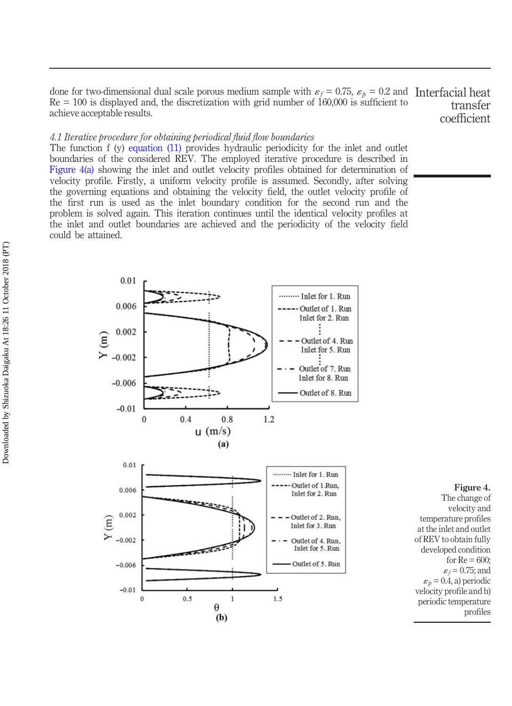done for two-dimensional dual scale porous medium sample with  $\varepsilon_f = 0.75$ ,  $\varepsilon_p = 0.2$  and Interfacial heat  $Re = 100$  is displayed and, the discretization with grid number of 160,000 is sufficient to achieve acceptable results. transfer coefficient

#### 4.1 Iterative procedure for obtaining periodical fluid flow boundaries

The function f (y) [equation \(11\)](#page-6-0) provides hydraulic periodicity for the inlet and outlet boundaries of the considered REV. The employed iterative procedure is described in [Figure 4\(a\)](#page-9-0) showing the inlet and outlet velocity profiles obtained for determination of velocity profile. Firstly, a uniform velocity profile is assumed. Secondly, after solving the governing equations and obtaining the velocity field, the outlet velocity profile of the first run is used as the inlet boundary condition for the second run and the problem is solved again. This iteration continues until the identical velocity profiles at the inlet and outlet boundaries are achieved and the periodicity of the velocity field could be attained.



<span id="page-9-0"></span>Figure 4. The change of velocity and temperature profiles at the inlet and outlet of REV to obtain fully developed condition for  $Re = 600$ ;  $\varepsilon_f$  = 0.75; and  $\varepsilon_b$  = 0.4, a) periodic velocity profile and b) periodic temperature profiles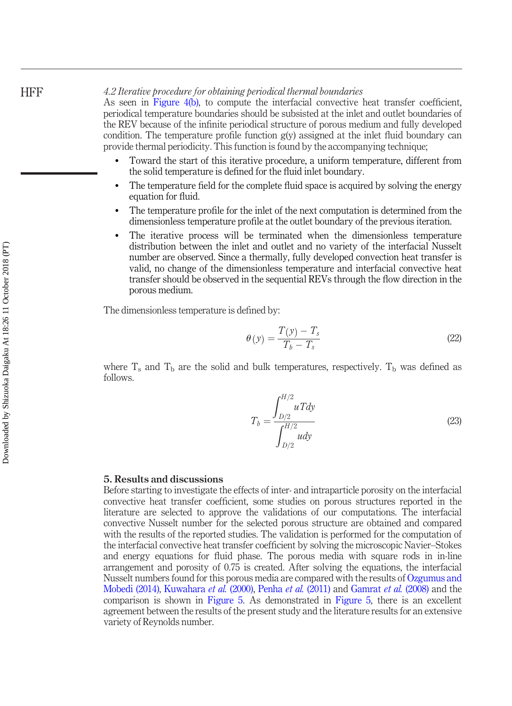#### 4.2 Iterative procedure for obtaining periodical thermal boundaries

As seen in [Figure 4\(b\)](#page-9-0), to compute the interfacial convective heat transfer coefficient, periodical temperature boundaries should be subsisted at the inlet and outlet boundaries of the REV because of the infinite periodical structure of porous medium and fully developed condition. The temperature profile function  $g(y)$  assigned at the inlet fluid boundary can provide thermal periodicity. This function is found by the accompanying technique;

- Toward the start of this iterative procedure, a uniform temperature, different from the solid temperature is defined for the fluid inlet boundary.
- The temperature field for the complete fluid space is acquired by solving the energy equation for fluid.
- The temperature profile for the inlet of the next computation is determined from the dimensionless temperature profile at the outlet boundary of the previous iteration.
- The iterative process will be terminated when the dimensionless temperature distribution between the inlet and outlet and no variety of the interfacial Nusselt number are observed. Since a thermally, fully developed convection heat transfer is valid, no change of the dimensionless temperature and interfacial convective heat transfer should be observed in the sequential REVs through the flow direction in the porous medium.

The dimensionless temperature is defined by:

$$
\theta(y) = \frac{T(y) - T_s}{T_b - T_s} \tag{22}
$$

where  $T_s$  and  $T_b$  are the solid and bulk temperatures, respectively.  $T_b$  was defined as follows.

$$
T_b = \frac{\int_{D/2}^{H/2} uT dy}{\int_{D/2}^{H/2} u dy}
$$
 (23)

#### 5. Results and discussions

Before starting to investigate the effects of inter- and intraparticle porosity on the interfacial convective heat transfer coefficient, some studies on porous structures reported in the literature are selected to approve the validations of our computations. The interfacial convective Nusselt number for the selected porous structure are obtained and compared with the results of the reported studies. The validation is performed for the computation of the interfacial convective heat transfer coefficient by solving the microscopic Navier–Stokes and energy equations for fluid phase. The porous media with square rods in in-line arrangement and porosity of 0.75 is created. After solving the equations, the interfacial Nusselt numbers found for this porous media are compared with the results of [Ozgumus and](#page-18-5) [Mobedi \(2014\)](#page-18-5), [Kuwahara](#page-18-3) *et al.* (2000), [Penha](#page-18-7) *et al.* (2011) and [Gamrat](#page-18-8) *et al.* (2008) and the comparison is shown in [Figure 5.](#page-11-0) As demonstrated in [Figure 5](#page-11-0), there is an excellent agreement between the results of the present study and the literature results for an extensive variety of Reynolds number.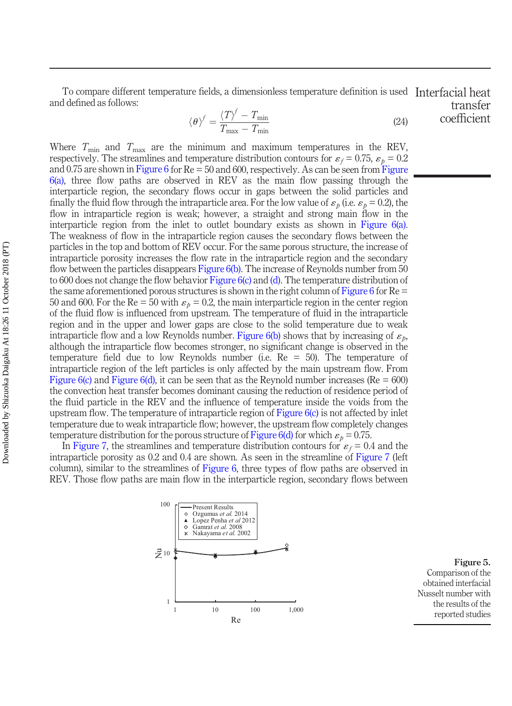To compare different temperature fields, a dimensionless temperature definition is used Interfacial heat and defined as follows: transfer

$$
\langle \theta \rangle^f = \frac{\langle T \rangle^f - T_{\min}}{T_{\max} - T_{\min}} \tag{24}
$$
 coefficient

Where  $T_{\min}$  and  $T_{\max}$  are the minimum and maximum temperatures in the REV, respectively. The streamlines and temperature distribution contours for  $\varepsilon_f = 0.75$ ,  $\varepsilon_b = 0.2$ and 0.75 are shown in [Figure 6](#page-12-0) for  $Re = 50$  and 600, respectively. As can be seen from [Figure](#page-12-0)  $6$ (a), three flow paths are observed in REV as the main flow passing through the interparticle region, the secondary flows occur in gaps between the solid particles and finally the fluid flow through the intraparticle area. For the low value of  $\varepsilon_b$  (i.e.  $\varepsilon_b = 0.2$ ), the flow in intraparticle region is weak; however, a straight and strong main flow in the interparticle region from the inlet to outlet boundary exists as shown in [Figure 6\(a\)](#page-12-0). The weakness of flow in the intraparticle region causes the secondary flows between the particles in the top and bottom of REV occur. For the same porous structure, the increase of intraparticle porosity increases the flow rate in the intraparticle region and the secondary flow between the particles disappears [Figure 6\(b\)](#page-12-0). The increase of Reynolds number from 50 to 600 does not change the flow behavior Figure  $6(c)$  and [\(d\)](#page-12-0). The temperature distribution of the same aforementioned porous structures is shown in the right column of [Figure 6](#page-12-0) for  $Re =$ 50 and 600. For the Re = 50 with  $\varepsilon_p = 0.2$ , the main interparticle region in the center region of the fluid flow is influenced from upstream. The temperature of fluid in the intraparticle region and in the upper and lower gaps are close to the solid temperature due to weak intraparticle flow and a low Reynolds number. [Figure 6\(b\)](#page-12-0) shows that by increasing of  $\varepsilon_b$ , although the intraparticle flow becomes stronger, no significant change is observed in the temperature field due to low Reynolds number (i.e. Re = 50). The temperature of intraparticle region of the left particles is only affected by the main upstream flow. From [Figure 6\(c\)](#page-12-0) and [Figure 6\(d\)](#page-12-0), it can be seen that as the Reynold number increases ( $Re = 600$ ) the convection heat transfer becomes dominant causing the reduction of residence period of the fluid particle in the REV and the influence of temperature inside the voids from the upstream flow. The temperature of intraparticle region of Figure  $6(c)$  is not affected by inlet temperature due to weak intraparticle flow; however, the upstream flow completely changes temperature distribution for the porous structure of [Figure 6\(d\)](#page-12-0) for which  $\varepsilon_b = 0.75$ .

In [Figure 7,](#page-13-0) the streamlines and temperature distribution contours for  $\varepsilon_f = 0.4$  and the intraparticle porosity as 0.2 and 0.4 are shown. As seen in the streamline of [Figure 7](#page-13-0) (left column), similar to the streamlines of [Figure 6,](#page-12-0) three types of flow paths are observed in REV. Those flow paths are main flow in the interparticle region, secondary flows between



<span id="page-11-0"></span>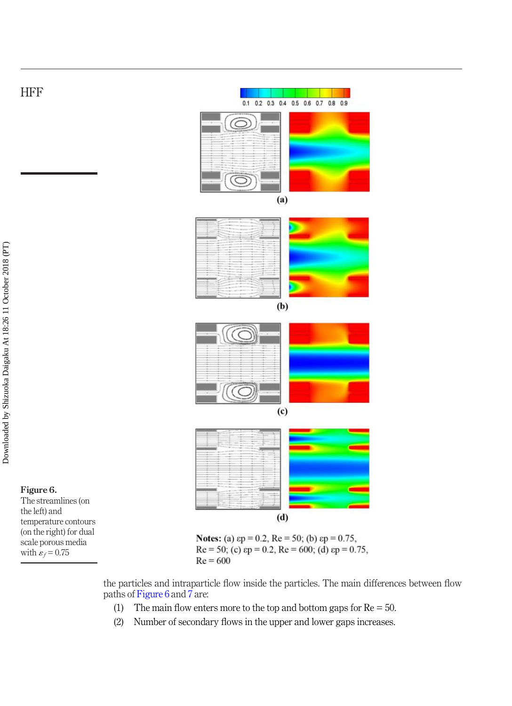

**Notes:** (a)  $ep = 0.2$ ,  $Re = 50$ ; (b)  $ep = 0.75$ ,  $Re = 50$ ; (c)  $\varepsilon p = 0.2$ ,  $Re = 600$ ; (d)  $\varepsilon p = 0.75$ ,  $Re = 600$ 

the particles and intraparticle flow inside the particles. The main differences between flow paths of [Figure 6](#page-12-0) and [7](#page-13-0) are:

- (1) The main flow enters more to the top and bottom gaps for  $Re = 50$ .
- (2) Number of secondary flows in the upper and lower gaps increases.

<span id="page-12-0"></span>Figure 6. The streamlines (on the left) and temperature contours (on the right) for dual scale porous media with  $\varepsilon_f = 0.75$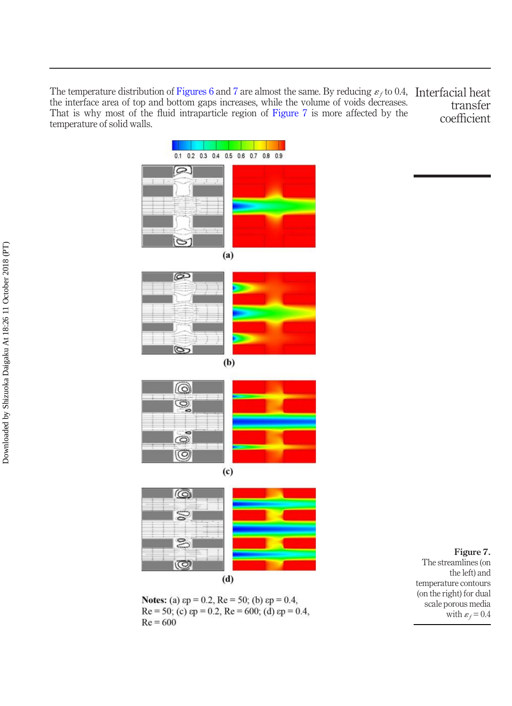The temperature distribution of [Figures 6](#page-12-0) and [7](#page-13-0) are almost the same. By reducing  $\varepsilon_f$  to 0.4, Interfacial heat the interface area of top and bottom gaps increases, while the volume of voids decreases. That is why most of the fluid intraparticle region of [Figure 7](#page-13-0) is more affected by the temperature of solid walls. transfer coefficient



**Notes:** (a)  $ep = 0.2$ ,  $Re = 50$ ; (b)  $ep = 0.4$ ,  $Re = 50$ ; (c)  $\varepsilon p = 0.2$ ,  $Re = 600$ ; (d)  $\varepsilon p = 0.4$ ,  $Re = 600$ 

<span id="page-13-0"></span>Figure 7. The streamlines (on the left) and temperature contours (on the right) for dual scale porous media with  $\varepsilon_f = 0.4$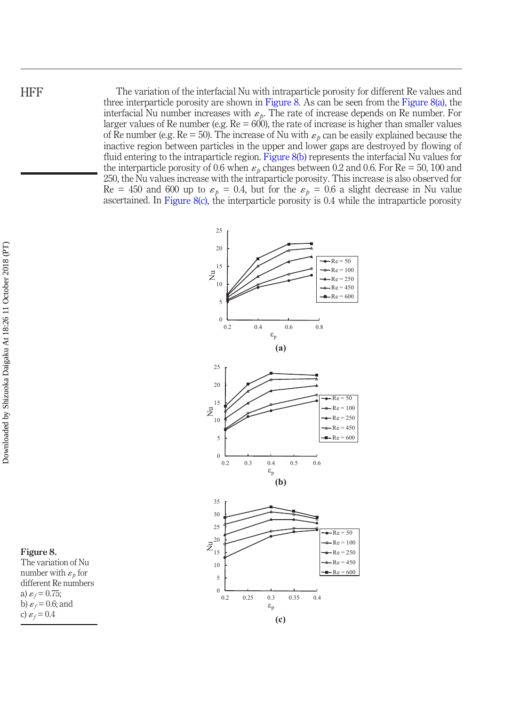The variation of the interfacial Nu with intraparticle porosity for different Re values and three interparticle porosity are shown in [Figure 8.](#page-14-0) As can be seen from the [Figure 8\(a\),](#page-14-0) the interfacial Nu number increases with  $\varepsilon_b$ . The rate of increase depends on Re number. For larger values of Re number (e.g.  $Re = 600$ ), the rate of increase is higher than smaller values of Re number (e.g. Re = 50). The increase of Nu with  $\varepsilon_p$  can be easily explained because the inactive region between particles in the upper and lower gaps are destroyed by flowing of fluid entering to the intraparticle region. [Figure 8\(b\)](#page-14-0) represents the interfacial Nu values for the interparticle porosity of 0.6 when  $\varepsilon_b$  changes between 0.2 and 0.6. For Re = 50, 100 and 250, the Nu values increase with the intraparticle porosity. This increase is also observed for Re = 450 and 600 up to  $\varepsilon_p = 0.4$ , but for the  $\varepsilon_p = 0.6$  a slight decrease in Nu value ascertained. In [Figure 8\(c\),](#page-14-0) the interparticle porosity is  $0.4$  while the intraparticle porosity



<span id="page-14-0"></span>Figure 8. The variation of Nu number with  $\varepsilon_p$  for different Re numbers a)  $\varepsilon_f = 0.75$ ; b)  $\varepsilon_f$  = 0.6; and c)  $\varepsilon_f = 0.4$ 

Downloaded by Shizuoka Daigaku At 18:26 11 October 2018 (PT) Downloaded by Shizuoka Daigaku At 18:26 11 October 2018 (PT)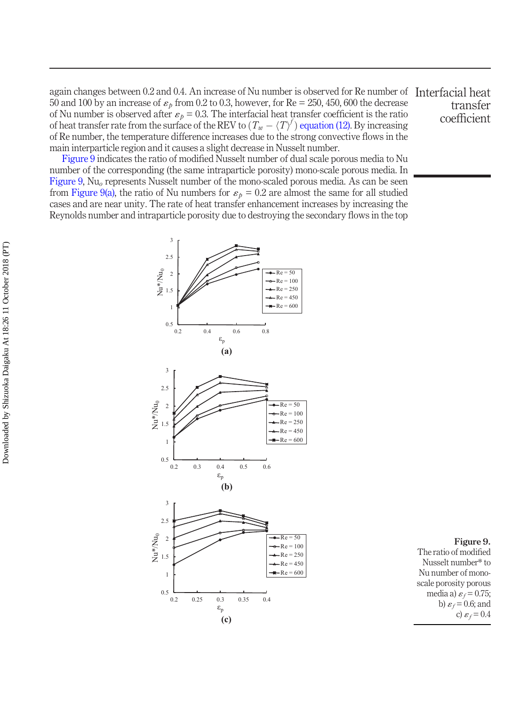again changes between 0.2 and 0.4. An increase of Nu number is observed for Re number of Interfacial heat 50 and 100 by an increase of  $\varepsilon_p$  from 0.2 to 0.3, however, for Re = 250, 450, 600 the decrease of Nu number is observed after  $\varepsilon_b = 0.3$ . The interfacial heat transfer coefficient is the ratio of heat transfer rate from the surface of the REV to  $(T_w - \langle T \rangle^f)$  [equation \(12\)](#page-6-0). By increasing of Re number, the temperature difference increases due to the strong convective flows in the main interparticle region and it causes a slight decrease in Nusselt number.

transfer coefficient

[Figure 9](#page-15-0) indicates the ratio of modified Nusselt number of dual scale porous media to Nu number of the corresponding (the same intraparticle porosity) mono-scale porous media. In [Figure 9,](#page-15-0)  $Nu_a$  represents Nusselt number of the mono-scaled porous media. As can be seen from [Figure 9\(a\)](#page-15-0), the ratio of Nu numbers for  $\varepsilon_b = 0.2$  are almost the same for all studied cases and are near unity. The rate of heat transfer enhancement increases by increasing the Reynolds number and intraparticle porosity due to destroying the secondary flows in the top



<span id="page-15-0"></span>Figure 9. The ratio of modified Nusselt number\* to Nu number of monoscale porosity porous media a)  $\varepsilon_f = 0.75$ ; b)  $\varepsilon_f$  = 0.6; and c)  $\varepsilon_f = 0.4$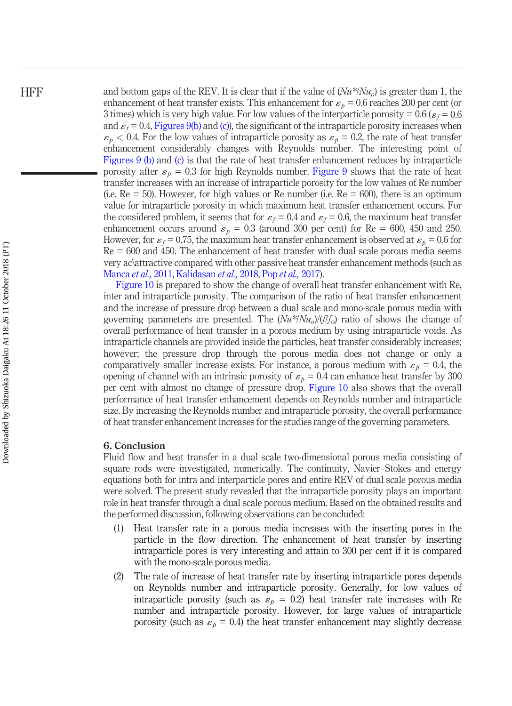and bottom gaps of the REV. It is clear that if the value of  $(Nu^*/Nu_o)$  is greater than 1, the enhancement of heat transfer exists. This enhancement for  $\varepsilon_b = 0.6$  reaches 200 per cent (or 3 times) which is very high value. For low values of the interparticle porosity =  $0.6$  ( $\varepsilon \neq 0.6$ ) and  $\varepsilon_f$  = 0.4, [Figures 9\(b\)](#page-15-0) and [\(c\)\)](#page-15-0), the significant of the intraparticle porosity increases when  $\varepsilon_p$  < 0.4. For the low values of intraparticle porosity as  $\varepsilon_p$  = 0.2, the rate of heat transfer enhancement considerably changes with Reynolds number. The interesting point of [Figures 9 \(b\)](#page-15-0) and [\(c\)](#page-15-0) is that the rate of heat transfer enhancement reduces by intraparticle porosity after  $\varepsilon_b = 0.3$  for high Reynolds number. [Figure 9](#page-15-0) shows that the rate of heat transfer increases with an increase of intraparticle porosity for the low values of Re number (i.e.  $Re = 50$ ). However, for high values or Re number (i.e.  $Re = 600$ ), there is an optimum value for intraparticle porosity in which maximum heat transfer enhancement occurs. For the considered problem, it seems that for  $\varepsilon_f = 0.4$  and  $\varepsilon_f = 0.6$ , the maximum heat transfer enhancement occurs around  $\varepsilon_p = 0.3$  (around 300 per cent) for Re = 600, 450 and 250. However, for  $\varepsilon_f = 0.75$ , the maximum heat transfer enhancement is observed at  $\varepsilon_b = 0.6$  for Re = 600 and 450. The enhancement of heat transfer with dual scale porous media seems very ac\attractive compared with other passive heat transfer enhancement methods (such as [Manca](#page-18-9) et al., 2011, [Kalidasan](#page-18-10) et al., 2018, Pop [et al.,](#page-18-11) 2017).

[Figure 10](#page-17-0) is prepared to show the change of overall heat transfer enhancement with Re, inter and intraparticle porosity. The comparison of the ratio of heat transfer enhancement and the increase of pressure drop between a dual scale and mono-scale porous media with governing parameters are presented. The  $(Nu^*Nu_o)/(f/f_o)$  ratio of shows the change of overall performance of heat transfer in a porous medium by using intraparticle voids. As intraparticle channels are provided inside the particles, heat transfer considerably increases; however; the pressure drop through the porous media does not change or only a comparatively smaller increase exists. For instance, a porous medium with  $\varepsilon_p = 0.4$ , the opening of channel with an intrinsic porosity of  $\varepsilon_b = 0.4$  can enhance heat transfer by 300 per cent with almost no change of pressure drop. [Figure 10](#page-17-0) also shows that the overall performance of heat transfer enhancement depends on Reynolds number and intraparticle size. By increasing the Reynolds number and intraparticle porosity, the overall performance of heat transfer enhancement increases for the studies range of the governing parameters.

#### 6. Conclusion

Fluid flow and heat transfer in a dual scale two-dimensional porous media consisting of square rods were investigated, numerically. The continuity, Navier–Stokes and energy equations both for intra and interparticle pores and entire REV of dual scale porous media were solved. The present study revealed that the intraparticle porosity plays an important role in heat transfer through a dual scale porous medium. Based on the obtained results and the performed discussion, following observations can be concluded:

- (1) Heat transfer rate in a porous media increases with the inserting pores in the particle in the flow direction. The enhancement of heat transfer by inserting intraparticle pores is very interesting and attain to 300 per cent if it is compared with the mono-scale porous media.
- (2) The rate of increase of heat transfer rate by inserting intraparticle pores depends on Reynolds number and intraparticle porosity. Generally, for low values of intraparticle porosity (such as  $\varepsilon_b = 0.2$ ) heat transfer rate increases with Re number and intraparticle porosity. However, for large values of intraparticle porosity (such as  $\varepsilon_b = 0.4$ ) the heat transfer enhancement may slightly decrease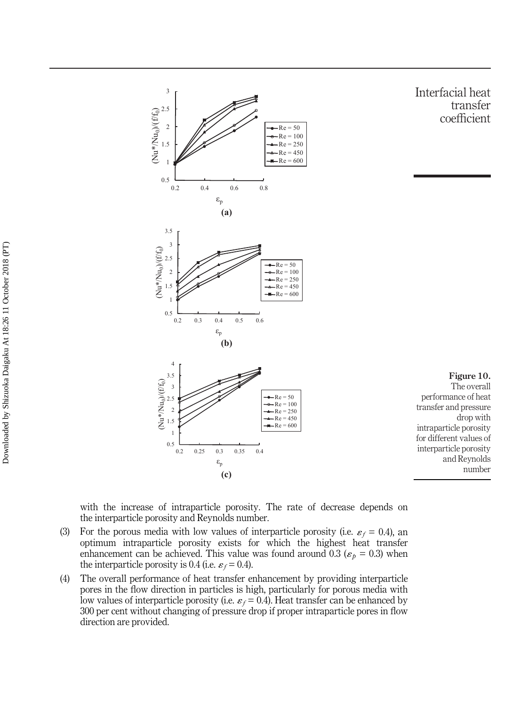

Interfacial heat transfer coefficient

<span id="page-17-0"></span>

with the increase of intraparticle porosity. The rate of decrease depends on the interparticle porosity and Reynolds number.

- (3) For the porous media with low values of interparticle porosity (i.e.  $\varepsilon_f = 0.4$ ), an optimum intraparticle porosity exists for which the highest heat transfer enhancement can be achieved. This value was found around 0.3 ( $\varepsilon_p = 0.3$ ) when the interparticle porosity is 0.4 (i.e.  $\varepsilon_f = 0.4$ ).
- (4) The overall performance of heat transfer enhancement by providing interparticle pores in the flow direction in particles is high, particularly for porous media with low values of interparticle porosity (i.e.  $\varepsilon_f = 0.4$ ). Heat transfer can be enhanced by 300 per cent without changing of pressure drop if proper intraparticle pores in flow direction are provided.